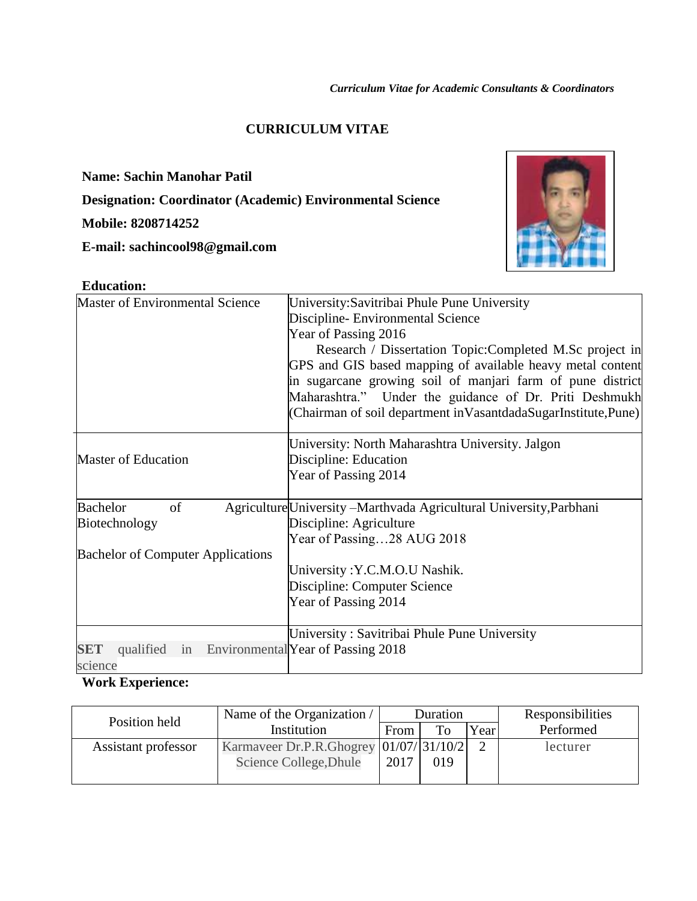#### **CURRICULUM VITAE**

**Name: Sachin Manohar Patil**

**Designation: Coordinator (Academic) Environmental Science**

## **Mobile: 8208714252**

**E-mail: sachincool98@gmail.com**



| <b>Education:</b>                        |                                                                                                                                                                                                                                                                                                                                                                                                                                 |
|------------------------------------------|---------------------------------------------------------------------------------------------------------------------------------------------------------------------------------------------------------------------------------------------------------------------------------------------------------------------------------------------------------------------------------------------------------------------------------|
| <b>Master of Environmental Science</b>   | University: Savitribai Phule Pune University<br>Discipline- Environmental Science<br>Year of Passing 2016<br>Research / Dissertation Topic: Completed M.Sc project in<br>GPS and GIS based mapping of available heavy metal content<br>in sugarcane growing soil of manjari farm of pune district<br>Maharashtra." Under the guidance of Dr. Priti Deshmukh<br>(Chairman of soil department in Vasantdada SugarInstitute, Pune) |
| <b>Master of Education</b>               | University: North Maharashtra University. Jalgon<br>Discipline: Education<br>Year of Passing 2014                                                                                                                                                                                                                                                                                                                               |
| <b>Bachelor</b><br>of<br>Biotechnology   | Agriculture University - Marthvada Agricultural University, Parbhani<br>Discipline: Agriculture<br>Year of Passing28 AUG 2018                                                                                                                                                                                                                                                                                                   |
| <b>Bachelor of Computer Applications</b> | University: Y.C.M.O.U Nashik.<br>Discipline: Computer Science<br>Year of Passing 2014<br>University: Savitribai Phule Pune University                                                                                                                                                                                                                                                                                           |
| <b>SET</b><br>qualified<br>1n<br>science | Environmental Year of Passing 2018                                                                                                                                                                                                                                                                                                                                                                                              |

# **Work Experience:**

| Position held       | Name of the Organization /                | Duration |     |      | Responsibilities |
|---------------------|-------------------------------------------|----------|-----|------|------------------|
|                     | Institution                               | From     | To  | Year | Performed        |
| Assistant professor | Karmaveer Dr.P.R.Ghogrey   01/07/ 31/10/2 |          |     |      | lecturer         |
|                     | Science College, Dhule                    | 2017     | 019 |      |                  |